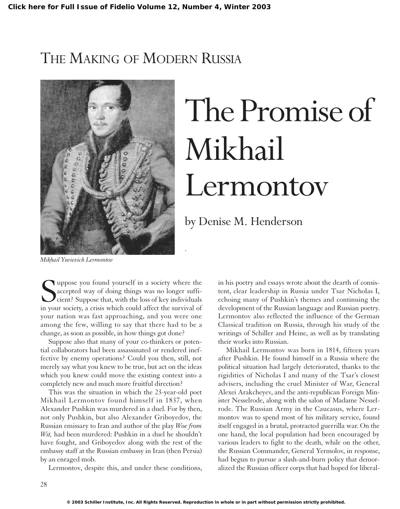# THE MAKING OF MODERN RUSSIA



# The Promise of Mikhail Lermontov

by Denise M. Henderson

.

*Mikhail Yurievich Lermontov*

Suppose you found yourself in a society where the accepted way of doing things was no longer sufficient? Suppose that, with the loss of key individuals in your society, a crisis which could affect the survival of accepted way of doing things was no longer sufficient? Suppose that, with the loss of key individuals in your society, a crisis which could affect the survival of your nation was fast approaching, and you were one among the few, willing to say that there had to be a change, as soon as possible, in how things got done?

Suppose also that many of your co-thinkers or potential collaborators had been assassinated or rendered ineffective by enemy operations? Could you then, still, not merely say what you knew to be true, but act on the ideas which you knew could move the existing context into a completely new and much more fruitful direction?

This was the situation in which the 23-year-old poet Mikhail Lermontov found himself in 1837, when Alexander Pushkin was murdered in a duel. For by then, not only Pushkin, but also Alexander Griboyedov, the Russian emissary to Iran and author of the play *Woe from Wit,* had been murdered: Pushkin in a duel he shouldn't have fought, and Griboyedov along with the rest of the embassy staff at the Russian embassy in Iran (then Persia) by an enraged mob.

Lermontov, despite this, and under these conditions,

in his poetry and essays wrote about the dearth of consistent, clear leadership in Russia under Tsar Nicholas I, echoing many of Pushkin's themes and continuing the development of the Russian language and Russian poetry. Lermontov also reflected the influence of the German Classical tradition on Russia, through his study of the writings of Schiller and Heine, as well as by translating their works into Russian.

Mikhail Lermontov was born in 1814, fifteen years after Pushkin. He found himself in a Russia where the political situation had largely deteriorated, thanks to the rigidities of Nicholas I and many of the Tsar's closest advisers, including the cruel Minister of War, General Alexei Arakcheyev, and the anti-republican Foreign Minister Nesselrode, along with the salon of Madame Nesselrode. The Russian Army in the Caucasus, where Lermontov was to spend most of his military service, found itself engaged in a brutal, protracted guerrilla war. On the one hand, the local population had been encouraged by various leaders to fight to the death, while on the other, the Russian Commander, General Yermolov, in response, had begun to pursue a slash-and-burn policy that demoralized the Russian officer corps that had hoped for liberal-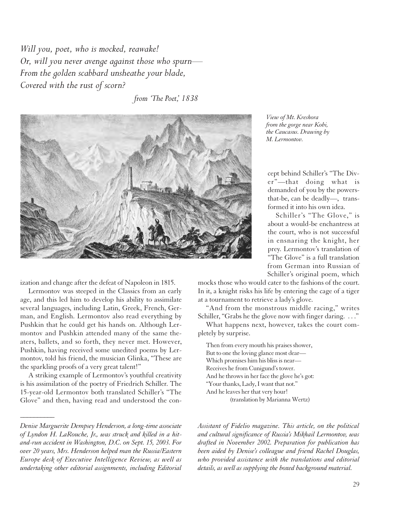*Will you, poet, who is mocked, reawake! Or, will you never avenge against those who spurn— From the golden scabbard unsheathe your blade, Covered with the rust of scorn?*

*from 'The Poet,' 1838*



ization and change after the defeat of Napoleon in 1815.

Lermontov was steeped in the Classics from an early age, and this led him to develop his ability to assimilate several languages, including Latin, Greek, French, German, and English. Lermontov also read everything by Pushkin that he could get his hands on. Although Lermontov and Pushkin attended many of the same theaters, ballets, and so forth, they never met. However, Pushkin, having received some unedited poems by Lermontov, told his friend, the musician Glinka, "These are the sparkling proofs of a very great talent!"

A striking example of Lermontov's youthful creativity is his assimilation of the poetry of Friedrich Schiller. The 15-year-old Lermontov both translated Schiller's "The Glove" and then, having read and understood the con-

*\_\_\_\_\_\_\_\_\_\_*

*View of Mt. Kreshora from the gorge near Kobi, the Caucasus. Drawing by M. Lermontov.*

cept behind Schiller's "The Diver"—that doing what is demanded of you by the powersthat-be, can be deadly—, transformed it into his own idea.

Schiller's "The Glove," is about a would-be enchantress at the court, who is not successful in ensnaring the knight, her prey. Lermontov's translation of "The Glove" is a full translation from German into Russian of Schiller's original poem, which

mocks those who would cater to the fashions of the court. In it, a knight risks his life by entering the cage of a tiger at a tournament to retrieve a lady's glove.

"And from the monstrous middle racing," writes Schiller, "Grabs he the glove now with finger daring. . . ."

What happens next, however, takes the court completely by surprise.

Then from every mouth his praises shower, But to one the loving glance most dear— Which promises him his bliss is near— Receives he from Cunigund's tower. And he throws in her face the glove he's got: "Your thanks, Lady, I want that not." And he leaves her that very hour! (translation by Marianna Wertz)

*Assistant of Fidelio magazine. This article, on the political and cultural significance of Russia's Mikhail Lermontov, was drafted in November 2002. Preparation for publication has been aided by Denise's colleague and friend Rachel Douglas, who provided assistance with the translations and editorial details, as well as supplying the boxed background material.*

*Denise Marguerite Dempsey Henderson, a long-time associate of Lyndon H. LaRouche, Jr., was struck and killed in a hitand-run accident in Washington, D.C. on Sept. 15, 2003. For over 20 years, Mrs. Henderson helped man the Russia/Eastern Europe desk of Executive Intelligence Review, as well as undertaking other editorial assignments, including Editorial*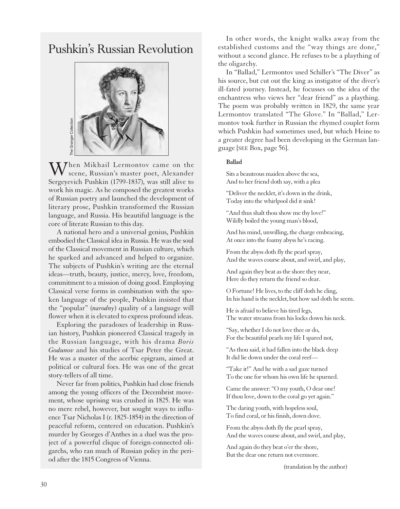# Pushkin's Russian Revolution



 $\rm\bf W$ hen Mikhail Lermontov came on the scene, Russian's master poet, Alexander Sergeyevich Pushkin (1799-1837), was still alive to work his magic. As he composed the greatest works of Russian poetry and launched the development of literary prose, Pushkin transformed the Russian language, and Russia. His beautiful language is the core of literate Russian to this day.

A national hero and a universal genius, Pushkin embodied the Classical idea in Russia. He was the soul of the Classical movement in Russian culture, which he sparked and advanced and helped to organize. The subjects of Pushkin's writing are the eternal ideas—truth, beauty, justice, mercy, love, freedom, commitment to a mission of doing good. Employing Classical verse forms in combination with the spoken language of the people, Pushkin insisted that the "popular" (*narodny*) quality of a language will flower when it is elevated to express profound ideas.

Exploring the paradoxes of leadership in Russian history, Pushkin pioneered Classical tragedy in the Russian language, with his drama *Boris Godunov* and his studies of Tsar Peter the Great. He was a master of the acerbic epigram, aimed at political or cultural foes. He was one of the great story-tellers of all time.

Never far from politics, Pushkin had close friends among the young officers of the Decembrist movement, whose uprising was crushed in 1825. He was no mere rebel, however, but sought ways to influence Tsar Nicholas I (r. 1825-1854) in the direction of peaceful reform, centered on education. Pushkin's murder by Georges d'Anthes in a duel was the project of a powerful clique of foreign-connected oligarchs, who ran much of Russian policy in the period after the 1815 Congress of Vienna.

In other words, the knight walks away from the established customs and the "way things are done," without a second glance. He refuses to be a plaything of the oligarchy.

In "Ballad," Lermontov used Schiller's "The Diver" as his source, but cut out the king as instigator of the diver's ill-fated journey. Instead, he focusses on the idea of the enchantress who views her "dear friend" as a plaything. The poem was probably written in 1829, the same year Lermontov translated "The Glove." In "Ballad," Lermontov took further in Russian the rhymed couplet form which Pushkin had sometimes used, but which Heine to a greater degree had been developing in the German language [SEE Box, page 56].

#### **Ballad**

Sits a beauteous maiden above the sea, And to her friend doth say, with a plea

"Deliver the necklet, it's down in the drink, Today into the whirlpool did it sink!

"And thus shalt thou show me thy love!" Wildly boiled the young man's blood,

And his mind, unwilling, the charge embracing, At once into the foamy abyss he's racing.

From the abyss doth fly the pearl spray, And the waves course about, and swirl, and play,

And again they beat as the shore they near, Here do they return the friend so dear.

O Fortune! He lives, to the cliff doth he cling, In his hand is the necklet, but how sad doth he seem.

He is afraid to believe his tired legs, The water streams from his locks down his neck.

"Say, whether I do not love thee or do, For the beautiful pearls my life I spared not,

"As thou said, it had fallen into the black deep It did lie down under the coral reef—

"Take it!" And he with a sad gaze turned To the one for whom his own life he spurned.

Came the answer: "O my youth, O dear one! If thou love, down to the coral go yet again."

The daring youth, with hopeless soul, To find coral, or his finish, down dove.

From the abyss doth fly the pearl spray, And the waves course about, and swirl, and play,

And again do they beat o'er the shore, But the dear one return not evermore.

(translation by the author)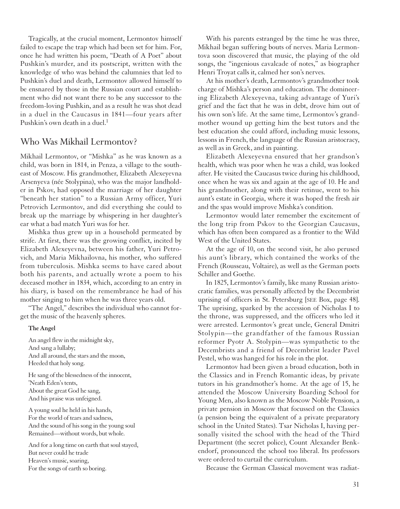Tragically, at the crucial moment, Lermontov himself failed to escape the trap which had been set for him. For, once he had written his poem, "Death of A Poet" about Pushkin's murder, and its postscript, written with the knowledge of who was behind the calumnies that led to Pushkin's duel and death, Lermontov allowed himself to be ensnared by those in the Russian court and establishment who did not want there to be any successor to the freedom-loving Pushkin, and as a result he was shot dead in a duel in the Caucasus in 1841—four years after Pushkin's own death in a duel.<sup>1</sup>

### Who Was Mikhail Lermontov?

Mikhail Lermontov, or "Mishka" as he was known as a child, was born in 1814, in Penza, a village to the southeast of Moscow. His grandmother, Elizabeth Alexeyevna Arsenyeva (née Stolypina), who was the major landholder in Pskov, had opposed the marriage of her daughter "beneath her station" to a Russian Army officer, Yuri Petrovich Lermontov, and did everything she could to break up the marriage by whispering in her daughter's ear what a bad match Yuri was for her.

Mishka thus grew up in a household permeated by strife. At first, there was the growing conflict, incited by Elizabeth Alexeyevna, between his father, Yuri Petrovich, and Maria Mikhailovna, his mother, who suffered from tuberculosis. Mishka seems to have cared about both his parents, and actually wrote a poem to his deceased mother in 1834, which, according to an entry in his diary, is based on the remembrance he had of his mother singing to him when he was three years old.

"The Angel," describes the individual who cannot forget the music of the heavenly spheres.

#### **The Angel**

An angel flew in the midnight sky, And sang a lullaby; And all around, the stars and the moon, Heeded that holy song.

He sang of the blessedness of the innocent, 'Neath Eden's tents, About the great God he sang, And his praise was unfeigned.

A young soul he held in his hands, For the world of tears and sadness, And the sound of his song in the young soul Remained—without words, but whole.

And for a long time on earth that soul stayed, But never could he trade Heaven's music, soaring, For the songs of earth so boring.

With his parents estranged by the time he was three, Mikhail began suffering bouts of nerves. Maria Lermontova soon discovered that music, the playing of the old songs, the "ingenious cavalcade of notes," as biographer Henri Troyat calls it, calmed her son's nerves.

At his mother's death, Lermontov's grandmother took charge of Mishka's person and education. The domineering Elizabeth Alexeyevna, taking advantage of Yuri's grief and the fact that he was in debt, drove him out of his own son's life. At the same time, Lermontov's grandmother wound up getting him the best tutors and the best education she could afford, including music lessons, lessons in French, the language of the Russian aristocracy, as well as in Greek, and in painting.

Elizabeth Alexeyevna ensured that her grandson's health, which was poor when he was a child, was looked after. He visited the Caucasus twice during his childhood, once when he was six and again at the age of 10. He and his grandmother, along with their retinue, went to his aunt's estate in Georgia, where it was hoped the fresh air and the spas would improve Mishka's condition.

Lermontov would later remember the excitement of the long trip from Pskov to the Georgian Caucasus, which has often been compared as a frontier to the Wild West of the United States.

At the age of 10, on the second visit, he also perused his aunt's library, which contained the works of the French (Rousseau, Voltaire), as well as the German poets Schiller and Goethe.

In 1825, Lermontov's family, like many Russian aristocratic families, was personally affected by the Decembrist uprising of officers in St. Petersburg [SEE Box, page 48]. The uprising, sparked by the accession of Nicholas I to the throne, was suppressed, and the officers who led it were arrested. Lermontov's great uncle, General Dmitri Stolypin—the grandfather of the famous Russian reformer Pyotr A. Stolypin—was sympathetic to the Decembrists and a friend of Decembrist leader Pavel Pestel, who was hanged for his role in the plot.

Lermontov had been given a broad education, both in the Classics and in French Romantic ideas, by private tutors in his grandmother's home. At the age of 15, he attended the Moscow University Boarding School for Young Men, also known as the Moscow Noble Pension, a private pension in Moscow that focussed on the Classics (a pension being the equivalent of a private preparatory school in the United States). Tsar Nicholas I, having personally visited the school with the head of the Third Department (the secret police), Count Alexander Benkendorf, pronounced the school too liberal. Its professors were ordered to curtail the curriculum.

Because the German Classical movement was radiat-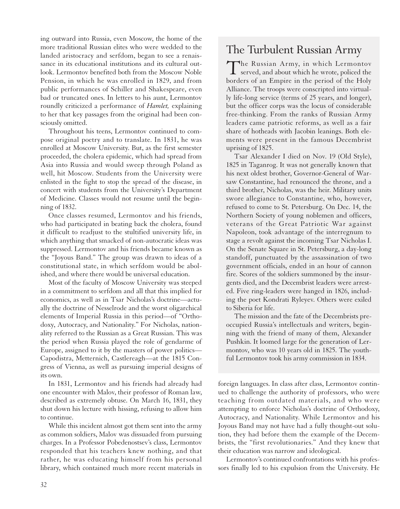ing outward into Russia, even Moscow, the home of the more traditional Russian elites who were wedded to the landed aristocracy and serfdom, began to see a renaissance in its educational institutions and its cultural outlook. Lermontov benefited both from the Moscow Noble Pension, in which he was enrolled in 1829, and from public performances of Schiller and Shakespeare, even bad or truncated ones. In letters to his aunt, Lermontov roundly criticized a performance of *Hamlet,* explaining to her that key passages from the original had been consciously omitted.

Throughout his teens, Lermontov continued to compose original poetry and to translate. In 1831, he was enrolled at Moscow University. But, as the first semester proceeded, the cholera epidemic, which had spread from Asia into Russia and would sweep through Poland as well, hit Moscow. Students from the University were enlisted in the fight to stop the spread of the disease, in concert with students from the University's Department of Medicine. Classes would not resume until the beginning of 1832.

Once classes resumed, Lermontov and his friends, who had participated in beating back the cholera, found it difficult to readjust to the stultified university life, in which anything that smacked of non-autocratic ideas was suppressed. Lermontov and his friends became known as the "Joyous Band." The group was drawn to ideas of a constitutional state, in which serfdom would be abolished, and where there would be universal education.

Most of the faculty of Moscow University was steeped in a commitment to serfdom and all that this implied for economics, as well as in Tsar Nicholas's doctrine—actually the doctrine of Nesselrode and the worst oligarchical elements of Imperial Russia in this period—of "Orthodoxy, Autocracy, and Nationality." For Nicholas, nationality referred to the Russian as a Great Russian. This was the period when Russia played the role of gendarme of Europe, assigned to it by the masters of power politics— Capodistra, Metternich, Castlereagh—at the 1815 Congress of Vienna, as well as pursuing imperial designs of its own.

In 1831, Lermontov and his friends had already had one encounter with Malov, their professor of Roman law, described as extremely obtuse. On March 16, 1831, they shut down his lecture with hissing, refusing to allow him to continue.

While this incident almost got them sent into the army as common soldiers, Malov was dissuaded from pursuing charges. In a Professor Pobedenostsev's class, Lermontov responded that his teachers knew nothing, and that rather, he was educating himself from his personal library, which contained much more recent materials in

## The Turbulent Russian Army

The Russian Army, in which Lermontov served, and about which he wrote, policed the borders of an Empire in the period of the Holy Alliance. The troops were conscripted into virtually life-long service (terms of 25 years, and longer), but the officer corps was the locus of considerable free-thinking. From the ranks of Russian Army leaders came patriotic reforms, as well as a fair share of hotheads with Jacobin leanings. Both elements were present in the famous Decembrist uprising of 1825.

Tsar Alexander I died on Nov. 19 (Old Style), 1825 in Taganrog. It was not generally known that his next oldest brother, Governor-General of Warsaw Constantine, had renounced the throne, and a third brother, Nicholas, was the heir. Military units swore allegiance to Constantine, who, however, refused to come to St. Petersburg. On Dec. 14, the Northern Society of young noblemen and officers, veterans of the Great Patriotic War against Napoleon, took advantage of the interregnum to stage a revolt against the incoming Tsar Nicholas I. On the Senate Square in St. Petersburg, a day-long standoff, punctuated by the assassination of two government officials, ended in an hour of cannon fire. Scores of the soldiers summoned by the insurgents died, and the Decembrist leaders were arrested. Five ring-leaders were hanged in 1826, including the poet Kondrati Ryleyev. Others were exiled to Siberia for life.

The mission and the fate of the Decembrists preoccupied Russia's intellectuals and writers, beginning with the friend of many of them, Alexander Pushkin. It loomed large for the generation of Lermontov, who was 10 years old in 1825. The youthful Lermontov took his army commission in 1834.

foreign languages. In class after class, Lermontov continued to challenge the authority of professors, who were teaching from outdated materials, and who were attempting to enforce Nicholas's doctrine of Orthodoxy, Autocracy, and Nationality. While Lermontov and his Joyous Band may not have had a fully thought-out solution, they had before them the example of the Decembrists, the "first revolutionaries." And they knew that their education was narrow and ideological.

Lermontov's continued confrontations with his professors finally led to his expulsion from the University. He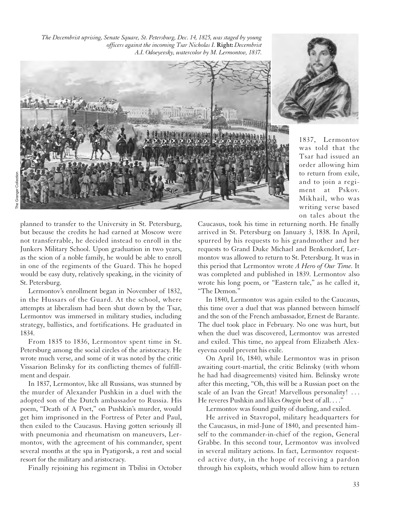*The Decembrist uprising, Senate Square, St. Petersburg, Dec. 14, 1825, was staged by young officers against the incoming Tsar Nicholas I.* **Right:** *Decembrist A.I. Odoeyevsky, watercolor by M. Lermontov, 1837.*



1837, Lermontov was told that the Tsar had issued an order allowing him to return from exile, and to join a regiment at Pskov. Mikhail, who was writing verse based on tales about the

The Granger Collection**Inger Collect** 

> planned to transfer to the University in St. Petersburg, but because the credits he had earned at Moscow were not transferrable, he decided instead to enroll in the Junkers Military School. Upon graduation in two years, as the scion of a noble family, he would be able to enroll in one of the regiments of the Guard. This he hoped would be easy duty, relatively speaking, in the vicinity of St. Petersburg.

> Lermontov's enrollment began in November of 1832, in the Hussars of the Guard. At the school, where attempts at liberalism had been shut down by the Tsar, Lermontov was immersed in military studies, including strategy, ballistics, and fortifications. He graduated in 1834.

> From 1835 to 1836, Lermontov spent time in St. Petersburg among the social circles of the aristocracy. He wrote much verse, and some of it was noted by the critic Vissarion Belinsky for its conflicting themes of fulfillment and despair.

> In 1837, Lermontov, like all Russians, was stunned by the murder of Alexander Pushkin in a duel with the adopted son of the Dutch ambassador to Russia. His poem, "Death of A Poet," on Pushkin's murder, would get him imprisoned in the Fortress of Peter and Paul, then exiled to the Caucasus. Having gotten seriously ill with pneumonia and rheumatism on maneuvers, Lermontov, with the agreement of his commander, spent several months at the spa in Pyatigorsk, a rest and social resort for the military and aristocracy.

Finally rejoining his regiment in Tbilisi in October

Caucasus, took his time in returning north. He finally arrived in St. Petersburg on January 3, 1838. In April, spurred by his requests to his grandmother and her requests to Grand Duke Michael and Benkendorf, Lermontov was allowed to return to St. Petersburg. It was in this period that Lermontov wrote *A Hero of Our Time.* It was completed and published in 1839. Lermontov also wrote his long poem, or "Eastern tale," as he called it, "The Demon."

In 1840, Lermontov was again exiled to the Caucasus, this time over a duel that was planned between himself and the son of the French ambassador, Ernest de Barante. The duel took place in February. No one was hurt, but when the duel was discovered, Lermontov was arrested and exiled. This time, no appeal from Elizabeth Alexeyevna could prevent his exile.

On April 16, 1840, while Lermontov was in prison awaiting court-martial, the critic Belinsky (with whom he had had disagreements) visited him. Belinsky wrote after this meeting, "Oh, this will be a Russian poet on the scale of an Ivan the Great! Marvellous personality! ... He reveres Pushkin and likes *Onegin* best of all. . . ."

Lermontov was found guilty of dueling, and exiled.

He arrived in Stavropol, military headquarters for the Caucasus, in mid-June of 1840, and presented himself to the commander-in-chief of the region, General Grabbe. In this second tour, Lermontov was involved in several military actions. In fact, Lermontov requested active duty, in the hope of receiving a pardon through his exploits, which would allow him to return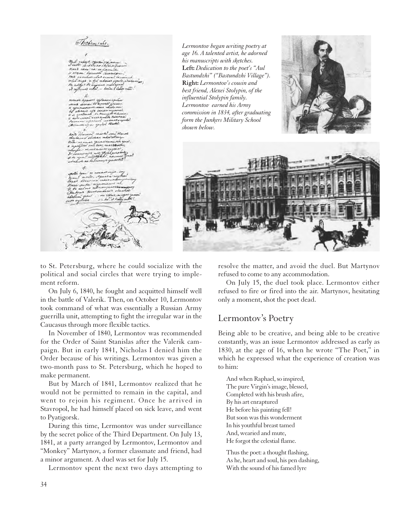Tochrusche. *Lermontov began writing poetry at age 16. A talented artist, he adorned his manuscripts with sketches.*  **Left:** *Dedication to the poet's "Aul Bastundzhi" ("Bastundzhi Village").* **Right:** *Lermontov's cousin and*  und molni . - kerive I range *best friend, Alexei Stolypin, of the influential Stolypin family. Lermontov earned his Army commission in 1834, after graduating form the Junkers Military School shown below.*and nice. dans daught ma eklañizan<br>e-hon eo teala

to St. Petersburg, where he could socialize with the political and social circles that were trying to implement reform.

On July 6, 1840, he fought and acquitted himself well in the battle of Valerik. Then, on October 10, Lermontov took command of what was essentially a Russian Army guerrilla unit, attempting to fight the irregular war in the Caucasus through more flexible tactics.

In November of 1840, Lermontov was recommended for the Order of Saint Stanislas after the Valerik campaign. But in early 1841, Nicholas I denied him the Order because of his writings. Lermontov was given a two-month pass to St. Petersburg, which he hoped to make permanent.

But by March of 1841, Lermontov realized that he would not be permitted to remain in the capital, and went to rejoin his regiment. Once he arrived in Stavropol, he had himself placed on sick leave, and went to Pyatigorsk.

During this time, Lermontov was under surveillance by the secret police of the Third Department. On July 13, 1841, at a party arranged by Lermontov, Lermontov and "Monkey" Martynov, a former classmate and friend, had a minor argument. A duel was set for July 15.

Lermontov spent the next two days attempting to

resolve the matter, and avoid the duel. But Martynov refused to come to any accommodation.

On July 15, the duel took place. Lermontov either refused to fire or fired into the air. Martynov, hesitating only a moment, shot the poet dead.

## Lermontov's Poetry

Being able to be creative, and being able to be creative constantly, was an issue Lermontov addressed as early as 1830, at the age of 16, when he wrote "The Poet," in which he expressed what the experience of creation was to him:

And when Raphael, so inspired, The pure Virgin's image, blessed, Completed with his brush afire, By his art enraptured He before his painting fell! But soon was this wonderment In his youthful breast tamed And, wearied and mute, He forgot the celestial flame.

Thus the poet: a thought flashing, As he, heart and soul, his pen dashing, With the sound of his famed lyre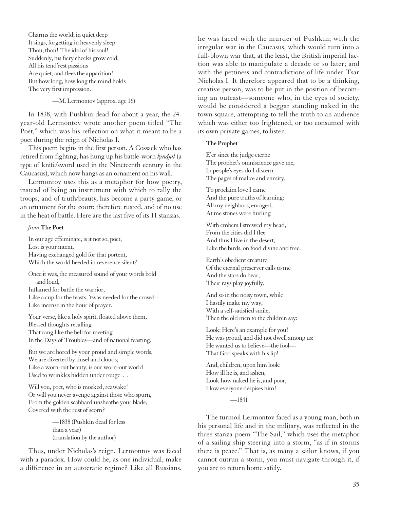Charms the world; in quiet deep It sings, forgetting in heavenly sleep Thou, thou! The idol of his soul! Suddenly, his fiery cheeks grow cold, All his tend'rest passions Are quiet, and flees the apparition! But how long, how long the mind holds The very first impression.

—M. Lermontov (approx. age 16)

In 1838, with Pushkin dead for about a year, the 24 year-old Lermontov wrote another poem titled "The Poet," which was his reflection on what it meant to be a poet during the reign of Nicholas I.

This poem begins in the first person. A Cossack who has retired from fighting, has hung up his battle-worn *kindjal* (a type of knife/sword used in the Nineteenth century in the Caucasus), which now hangs as an ornament on his wall.

Lermontov uses this as a metaphor for how poetry, instead of being an instrument with which to rally the troops, and of truth/beauty, has become a party game, or an ornament for the court; therefore rusted, and of no use in the heat of battle. Here are the last five of its 11 stanzas.

#### *from* **The Poet**

In our age effeminate, is it not so, poet, Lost is your intent, Having exchanged gold for that portent, Which the world heeded in reverence silent?

Once it was, the measured sound of your words bold and loud,

Inflamed for battle the warrior, Like a cup for the feasts, 'twas needed for the crowd— Like incense in the hour of prayer.

Your verse, like a holy spirit, floated above them, Blessed thoughts recalling That rang like the bell for meeting In the Days of Troubles—and of national feasting.

But we are bored by your proud and simple words, We are diverted by tinsel and clouds; Like a worn-out beauty, is our worn-out world Used to wrinkles hidden under rouge ...

Will you, poet, who is mocked, reawake! Or will you never avenge against those who spurn, From the golden scabbard unsheathe your blade, Covered with the rust of scorn?

> —1838 (Pushkin dead for less than a year) (translation by the author)

Thus, under Nicholas's reign, Lermontov was faced with a paradox. How could he, as one individual, make a difference in an autocratic regime? Like all Russians, he was faced with the murder of Pushkin; with the irregular war in the Caucasus, which would turn into a full-blown war that, at the least, the British imperial faction was able to manipulate a decade or so later; and with the pettiness and contradictions of life under Tsar Nicholas I. It therefore appeared that to be a thinking, creative person, was to be put in the position of becoming an outcast—someone who, in the eyes of society, would be considered a beggar standing naked in the town square, attempting to tell the truth to an audience which was either too frightened, or too consumed with its own private games, to listen.

#### **The Prophet**

E'er since the judge eterne The prophet's omniscience gave me, In people's eyes do I discern The pages of malice and enmity.

To proclaim love I came And the pure truths of learning: All my neighbors, enraged, At me stones were hurling

With embers I strewed my head, From the cities did I flee And thus I live in the desert; Like the birds, on food divine and free.

Earth's obedient creature Of the eternal preserver calls to me And the stars do hear, Their rays play joyfully.

And so in the noisy town, while I hastily make my way, With a self-satisfied smile, Then the old men to the children say:

Look: Here's an example for you! He was proud, and did not dwell among us: He wanted us to believe—the fool— That God speaks with his lip!

And, children, upon him look: How ill he is, and ashen, Look how naked he is, and poor, How everyone despises him!

—1841

The turmoil Lermontov faced as a young man, both in his personal life and in the military, was reflected in the three-stanza poem "The Sail," which uses the metaphor of a sailing ship steering into a storm, "as if in storms there is peace." That is, as many a sailor knows, if you cannot outrun a storm, you must navigate through it, if you are to return home safely.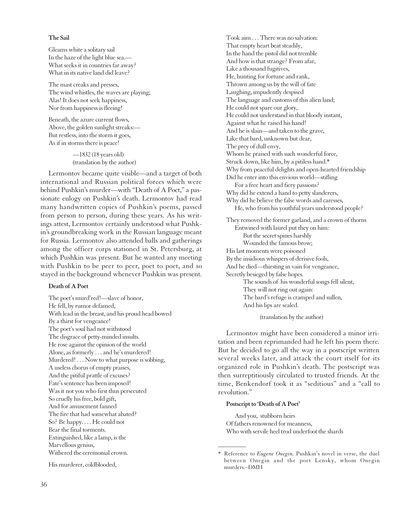#### **The Sail**

Gleams white a solitary sail In the haze of the light blue sea.— What seeks it in countries far away? What in its native land did leave?

The mast creaks and presses, The wind whistles, the waves are playing; Alas! It does not seek happiness, Nor from happiness is fleeing!

Beneath, the azure current flows, Above, the golden sunlight streaks:— But restless, into the storm it goes, As if in storms there is peace!

> —1832 (18 years old) (translation by the author)

Lermontov became quite visible—and a target of both international and Russian political forces which were behind Pushkin's murder—with "Death of A Poet," a passionate eulogy on Pushkin's death. Lermontov had read many handwritten copies of Pushkin's poems, passed from person to person, during these years. As his writings attest, Lermontov certainly understood what Pushkin's groundbreaking work in the Russian language meant for Russia. Lermontov also attended balls and gatherings among the officer corps stationed in St. Petersburg, at which Pushkin was present. But he wanted any meeting with Pushkin to be peer to peer, poet to poet, and so stayed in the background whenever Pushkin was present.

#### **Death of A Poet**

The poet's murd'red!—slave of honor, He fell, by rumor defamed, With lead in the breast, and his proud head bowed By a thirst for vengeance! The poet's soul had not withstood The disgrace of petty-minded insults. He rose against the opinion of the world Alone, as formerly . . . and he's murdered! Murdered! . . . Now to what purpose is sobbing, A useless chorus of empty praises, And the pitiful prattle of excuses? Fate's sentence has been imposed! Was it not you who first thus persecuted So cruelly his free, bold gift, And for amusement fanned The fire that had somewhat abated? So? Be happy. . . . He could not Bear the final torments. Extinguished, like a lamp, is the Marvellous genius, Withered the ceremonial crown.

His murderer, coldblooded,

Took aim . . . There was no salvation: That empty heart beat steadily, In the hand the pistol did not tremble And how is that strange? From afar, Like a thousand fugitives, He, hunting for fortune and rank, Thrown among us by the will of fate Laughing, impudently despised The language and customs of this alien land; He could not spare our glory, He could not understand in that bloody instant, Against what he raised his hand! And he is slain—and taken to the grave, Like that bard, unknown but dear, The prey of dull envy, Whom he praised with such wonderful force, Struck down, like him, by a pitiless hand.\* Why from peaceful delights and open-hearted friendship Did he enter into this envious world—stifling For a free heart and fiery passions? Why did he extend a hand to petty slanderers, Why did he believe the false words and caresses, He, who from his youthful years understood people? They removed the former garland, and a crown of thorns Entwined with laurel put they on him: But the secret spines harshly Wounded the famous brow; His last moments were poisoned By the insidious whispers of derisive fools,

And he died—thirsting in vain for vengeance,

Secretly besieged by false hopes. The sounds of his wonderful songs fell silent, They will not ring out again: The bard's refuge is cramped and sullen, And his lips are sealed.

(translation by the author)

Lermontov might have been considered a minor irritation and been reprimanded had he left his poem there. But he decided to go all the way in a postscript written several weeks later, and attack the court itself for its organized role in Pushkin's death. The postscript was then surreptitiously circulated to trusted friends. At the time, Benkendorf took it as "seditious" and a "call to revolution."

#### **Postscript to 'Death of A Poet'**

 $\overline{\phantom{a}}$ 

And you, stubborn heirs Of fathers renowned for meanness, Who with servile heel trod underfoot the shards

<sup>\*</sup> Reference to *Eugene Onegin,* Pushkin's novel in verse, the duel between Onegin and the poet Lensky, whom Onegin murders.–DMH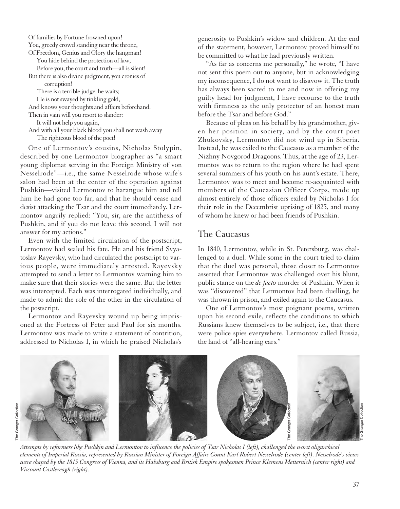Of families by Fortune frowned upon! You, greedy crowd standing near the throne, Of Freedom, Genius and Glory the hangman!

You hide behind the protection of law, Before you, the court and truth—all is silent! But there is also divine judgment, you cronies of

corruption!

There is a terrible judge: he waits;

He is not swayed by tinkling gold,

And knows your thoughts and affairs beforehand.

Then in vain will you resort to slander:

It will not help you again,

And with all your black blood you shall not wash away The righteous blood of the poet!

One of Lermontov's cousins, Nicholas Stolypin, described by one Lermontov biographer as "a smart young diplomat serving in the Foreign Ministry of von Nesselrode"—i.e., the same Nesselrode whose wife's salon had been at the center of the operation against Pushkin—visited Lermontov to harangue him and tell him he had gone too far, and that he should cease and desist attacking the Tsar and the court immediately. Lermontov angrily replied: "You, sir, are the antithesis of Pushkin, and if you do not leave this second, I will not answer for my actions."

Even with the limited circulation of the postscript, Lermontov had sealed his fate. He and his friend Svyatoslav Rayevsky, who had circulated the postscript to various people, were immediately arrested. Rayevsky attempted to send a letter to Lermontov warning him to make sure that their stories were the same. But the letter was intercepted. Each was interrogated individually, and made to admit the role of the other in the circulation of the postscript.

Lermontov and Rayevsky wound up being imprisoned at the Fortress of Peter and Paul for six months. Lermontov was made to write a statement of contrition, addressed to Nicholas I, in which he praised Nicholas's

generosity to Pushkin's widow and children. At the end of the statement, however, Lermontov proved himself to be committed to what he had previously written.

"As far as concerns me personally," he wrote, "I have not sent this poem out to anyone, but in acknowledging my inconsequence, I do not want to disavow it. The truth has always been sacred to me and now in offering my guilty head for judgment, I have recourse to the truth with firmness as the only protector of an honest man before the Tsar and before God."

Because of pleas on his behalf by his grandmother, given her position in society, and by the court poet Zhukovsky, Lermontov did not wind up in Siberia. Instead, he was exiled to the Caucasus as a member of the Nizhny Novgorod Dragoons. Thus, at the age of 23, Lermontov was to return to the region where he had spent several summers of his youth on his aunt's estate. There, Lermontov was to meet and become re-acquainted with members of the Caucasian Officer Corps, made up almost entirely of those officers exiled by Nicholas I for their role in the Decembrist uprising of 1825, and many of whom he knew or had been friends of Pushkin.

## The Caucasus

In 1840, Lermontov, while in St. Petersburg, was challenged to a duel. While some in the court tried to claim that the duel was personal, those closer to Lermontov asserted that Lermontov was challenged over his blunt, public stance on the *de facto* murder of Pushkin. When it was "discovered" that Lermontov had been duelling, he was thrown in prison, and exiled again to the Caucasus.

One of Lermontov's most poignant poems, written upon his second exile, reflects the conditions to which Russians knew themselves to be subject, i.e., that there were police spies everywhere. Lermontov called Russia, the land of "all-hearing ears."

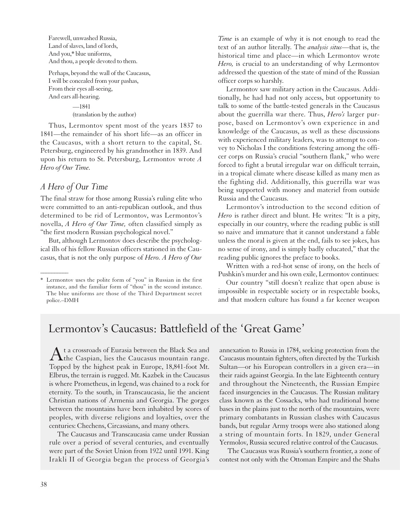Farewell, unwashed Russia, Land of slaves, land of lords, And you,\* blue uniforms, And thou, a people devoted to them.

Perhaps, beyond the wall of the Caucasus, I will be concealed from your pashas, From their eyes all-seeing, And ears all-hearing.

> —1841 (translation by the author)

Thus, Lermontov spent most of the years 1837 to 1841—the remainder of his short life—as an officer in the Caucasus, with a short return to the capital, St. Petersburg, engineered by his grandmother in 1839. And upon his return to St. Petersburg, Lermontov wrote *A Hero of Our Time.*

## *A Hero of Our Time*

 $\overline{\phantom{a}}$ 

The final straw for those among Russia's ruling elite who were committed to an anti-republican outlook, and thus determined to be rid of Lermontov, was Lermontov's novella, *A Hero of Our Time,* often classified simply as "the first modern Russian psychological novel."

But, although Lermontov does describe the psychological ills of his fellow Russian officers stationed in the Caucasus, that is not the only purpose of *Hero. A Hero of Our*

*Time* is an example of why it is not enough to read the text of an author literally. The *analysis situs*—that is, the historical time and place—in which Lermontov wrote *Hero,* is crucial to an understanding of why Lermontov addressed the question of the state of mind of the Russian officer corps so harshly.

Lermontov saw military action in the Caucasus. Additionally, he had had not only access, but opportunity to talk to some of the battle-tested generals in the Caucasus about the guerrilla war there. Thus, *Hero's* larger purpose, based on Lermontov's own experience in and knowledge of the Caucasus, as well as these discussions with experienced military leaders, was to attempt to convey to Nicholas I the conditions festering among the officer corps on Russia's crucial "southern flank," who were forced to fight a brutal irregular war on difficult terrain, in a tropical climate where disease killed as many men as the fighting did. Additionally, this guerrilla war was being supported with money and materiel from outside Russia and the Caucasus.

Lermontov's introduction to the second edition of *Hero* is rather direct and blunt. He writes: "It is a pity, especially in our country, where the reading public is still so naive and immature that it cannot understand a fable unless the moral is given at the end, fails to see jokes, has no sense of irony, and is simply badly educated," that the reading public ignores the preface to books.

Written with a red-hot sense of irony, on the heels of Pushkin's murder and his own exile, Lermontov continues:

Our country "still doesn't realize that open abuse is impossible in respectable society or in respectable books, and that modern culture has found a far keener weapon

## Lermontov's Caucasus: Battlefield of the 'Great Game'

At a crossroads of Eurasia between the Black Sea and<br>the Caspian, lies the Caucasus mountain range. Topped by the highest peak in Europe, 18,841-foot Mt. Elbrus, the terrain is rugged. Mt. Kazbek in the Caucasus is where Prometheus, in legend, was chained to a rock for eternity. To the south, in Transcaucasia, lie the ancient Christian nations of Armenia and Georgia. The gorges between the mountains have been inhabited by scores of peoples, with diverse religions and loyalties, over the centuries: Chechens, Circassians, and many others.

The Caucasus and Transcaucasia came under Russian rule over a period of several centuries, and eventually were part of the Soviet Union from 1922 until 1991. King Irakli II of Georgia began the process of Georgia's

annexation to Russia in 1784, seeking protection from the Caucasus mountain fighters, often directed by the Turkish Sultan—or his European controllers in a given era—in their raids against Georgia. In the late Eighteenth century and throughout the Nineteenth, the Russian Empire faced insurgencies in the Caucasus. The Russian military class known as the Cossacks, who had traditional home bases in the plains just to the north of the mountains, were primary combatants in Russian clashes with Caucasus bands, but regular Army troops were also stationed along a string of mountain forts. In 1829, under General Yermolov, Russia secured relative control of the Caucasus.

The Caucasus was Russia's southern frontier, a zone of contest not only with the Ottoman Empire and the Shahs

<sup>\*</sup> Lermontov uses the polite form of "you" in Russian in the first instance, and the familiar form of "thou" in the second instance. The blue uniforms are those of the Third Department secret police.–DMH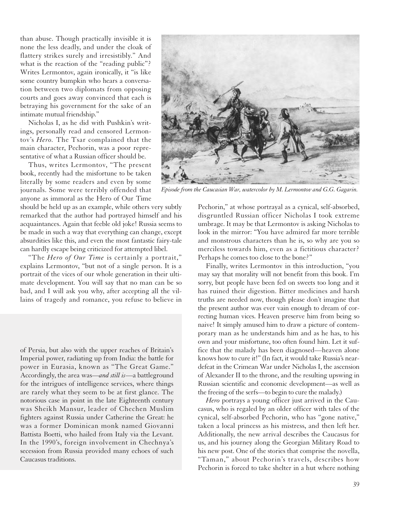than abuse. Though practically invisible it is none the less deadly, and under the cloak of flattery strikes surely and irresistibly." And what is the reaction of the "reading public"? Writes Lermontov, again ironically, it "is like some country bumpkin who hears a conversation between two diplomats from opposing courts and goes away convinced that each is betraying his government for the sake of an intimate mutual friendship."

Nicholas I, as he did with Pushkin's writings, personally read and censored Lermontov's *Hero.* The Tsar complained that the main character, Pechorin, was a poor representative of what a Russian officer should be.

Thus, writes Lermontov, "The present book, recently had the misfortune to be taken literally by some readers and even by some journals. Some were terribly offended that anyone as immoral as the Hero of Our Time

should be held up as an example, while others very subtly remarked that the author had portrayed himself and his acquaintances. Again that feeble old joke! Russia seems to be made in such a way that everything can change, except absurdities like this, and even the most fantastic fairy-tale can hardly escape being criticized for attempted libel.

"The *Hero of Our Time* is certainly a portrait," explains Lermontov, "but not of a single person. It is a portrait of the vices of our whole generation in their ultimate development. You will say that no man can be so bad, and I will ask you why, after accepting all the villains of tragedy and romance, you refuse to believe in

of Persia, but also with the upper reaches of Britain's Imperial power, radiating up from India: the battle for power in Eurasia, known as "The Great Game." Accordingly, the area was—*and still is*—a battleground for the intrigues of intelligence services, where things are rarely what they seem to be at first glance. The notorious case in point in the late Eighteenth century was Sheikh Mansur, leader of Chechen Muslim fighters against Russia under Catherine the Great: he was a former Dominican monk named Giovanni Battista Boetti, who hailed from Italy via the Levant. In the 1990's, foreign involvement in Chechnya's secession from Russia provided many echoes of such Caucasus traditions.



*Episode from the Caucasian War, watercolor by M. Lermontov and G.G. Gagarin.*

Pechorin," at whose portrayal as a cynical, self-absorbed, disgruntled Russian officer Nicholas I took extreme umbrage. It may be that Lermontov is asking Nicholas to look in the mirror: "You have admired far more terrible and monstrous characters than he is, so why are you so merciless towards him, even as a fictitious character? Perhaps he comes too close to the bone?"

Finally, writes Lermontov in this introduction, "you may say that morality will not benefit from this book. I'm sorry, but people have been fed on sweets too long and it has ruined their digestion. Bitter medicines and harsh truths are needed now, though please don't imagine that the present author was ever vain enough to dream of correcting human vices. Heaven preserve him from being so naive! It simply amused him to draw a picture of contemporary man as he understands him and as he has, to his own and your misfortune, too often found him. Let it suffice that the malady has been diagnosed—heaven alone knows how to cure it!" (In fact, it would take Russia's neardefeat in the Crimean War under Nicholas I, the ascension of Alexander II to the throne, and the resulting upswing in Russian scientific and economic development—as well as the freeing of the serfs—to begin to cure the malady.)

*Hero* portrays a young officer just arrived in the Caucasus, who is regaled by an older officer with tales of the cynical, self-absorbed Pechorin, who has "gone native," taken a local princess as his mistress, and then left her. Additionally, the new arrival describes the Caucasus for us, and his journey along the Georgian Military Road to his new post. One of the stories that comprise the novella, "Taman," about Pechorin's travels, describes how Pechorin is forced to take shelter in a hut where nothing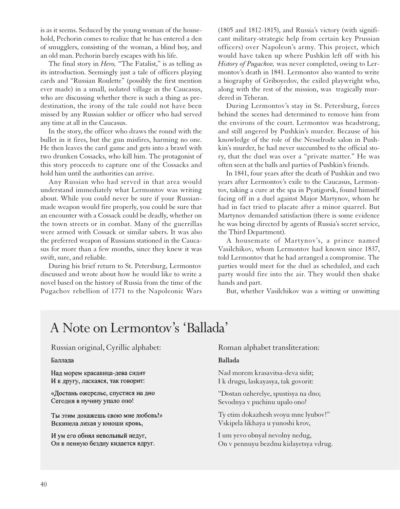is as it seems. Seduced by the young woman of the household, Pechorin comes to realize that he has entered a den of smugglers, consisting of the woman, a blind boy, and an old man. Pechorin barely escapes with his life.

The final story in *Hero,* "The Fatalist," is as telling as its introduction. Seemingly just a tale of officers playing cards and "Russian Roulette" (possibly the first mention ever made) in a small, isolated village in the Caucasus, who are discussing whether there is such a thing as predestination, the irony of the tale could not have been missed by any Russian soldier or officer who had served any time at all in the Caucasus.

In the story, the officer who draws the round with the bullet in it fires, but the gun misfires, harming no one. He then leaves the card game and gets into a brawl with two drunken Cossacks, who kill him. The protagonist of this story proceeds to capture one of the Cossacks and hold him until the authorities can arrive.

Any Russian who had served in that area would understand immediately what Lermontov was writing about. While you could never be sure if your Russianmade weapon would fire properly, you could be sure that an encounter with a Cossack could be deadly, whether on the town streets or in combat. Many of the guerrillas were armed with Cossack or similar sabers. It was also the preferred weapon of Russians stationed in the Caucasus for more than a few months, since they knew it was swift, sure, and reliable.

During his brief return to St. Petersburg, Lermontov discussed and wrote about how he would like to write a novel based on the history of Russia from the time of the Pugachov rebellion of 1771 to the Napoleonic Wars (1805 and 1812-1815), and Russia's victory (with significant military-strategic help from certain key Prussian officers) over Napoleon's army. This project, which would have taken up where Pushkin left off with his *History of Pugachov,* was never completed, owing to Lermontov's death in 1841. Lermontov also wanted to write a biography of Griboyedov, the exiled playwright who, along with the rest of the mission, was tragically murdered in Teheran.

During Lermontov's stay in St. Petersburg, forces behind the scenes had determined to remove him from the environs of the court. Lermontov was headstrong, and still angered by Pushkin's murder. Because of his knowledge of the role of the Nesselrode salon in Pushkin's murder, he had never succumbed to the official story, that the duel was over a "private matter." He was often seen at the balls and parties of Pushkin's friends.

In 1841, four years after the death of Pushkin and two years after Lermontov's exile to the Caucasus, Lermontov, taking a cure at the spa in Pyatigorsk, found himself facing off in a duel against Major Martynov, whom he had in fact tried to placate after a minor quarrel. But Martynov demanded satisfaction (there is some evidence he was being directed by agents of Russia's secret service, the Third Department).

A housemate of Martynov's, a prince named Vasilchikov, whom Lermontov had known since 1837, told Lermontov that he had arranged a compromise. The parties would meet for the duel as scheduled, and each party would fire into the air. They would then shake hands and part.

But, whether Vasilchikov was a witting or unwitting

# A Note on Lermontov's 'Ballada'

#### Russian original, Cyrillic alphabet:

#### Баллада

Над морем красавица-дева сидит И к другу, ласкаяся, так говорит:

«Достань ожерелье, спустися на дно Сегодня в пучину упало оно!

Ты этим докажешь свою мне любовь!» Вскипела лихая у юноши кровь,

И ум его обнял невольный недуг, Он в пенную бездну кидается вдруг.

#### Roman alphabet transliteration:

#### **Ballada**

Nad morem krasavitsa-deva sidit; I k drugu, laskayasya, tak govorit:

"Dostan ozherelye, spustisya na dno; Sevodnya v puchinu upalo ono!

Ty etim dokazhesh svoyu mne lyubov!" Vskipela likhaya u yunoshi krov,

I um yevo obnyal nevolny nedug, On v pennuyu bezdnu kidayetsya vdrug.